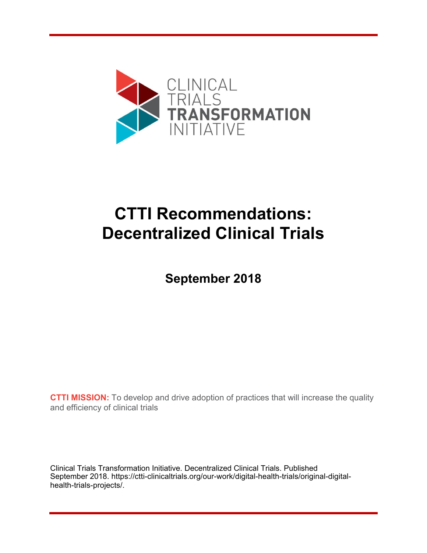

# **CTTI Recommendations: Decentralized Clinical Trials**

**September 2018**

**CTTI MISSION:** To develop and drive adoption of practices that will increase the quality and efficiency of clinical trials

Clinical Trials Transformation Initiative. Decentralized Clinical Trials. Published September 2018. [https://ctti-clinicaltrials.org/our-work/digital-health-trials/original-digital](https://ctti-clinicaltrials.org/our-work/digital-health-trials/original-digital-health-trials-projects/)health-trials-projects/.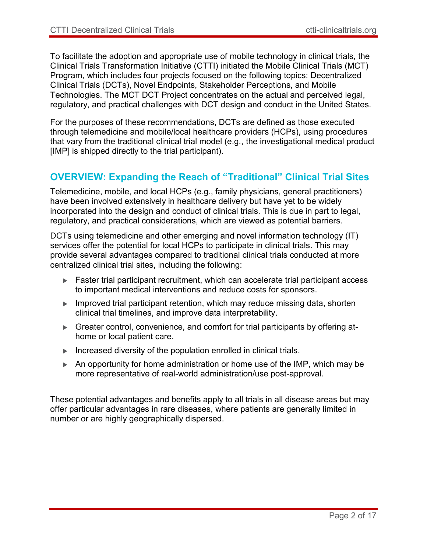To facilitate the adoption and appropriate use of mobile technology in clinical trials, the Clinical Trials Transformation Initiative (CTTI) initiated the Mobile Clinical Trials (MCT) Program, which includes four projects focused on the following topics: Decentralized Clinical Trials (DCTs), Novel Endpoints, Stakeholder Perceptions, and Mobile Technologies. The MCT DCT Project concentrates on the actual and perceived legal, regulatory, and practical challenges with DCT design and conduct in the United States.

For the purposes of these recommendations, DCTs are defined as those executed through telemedicine and mobile/local healthcare providers (HCPs), using procedures that vary from the traditional clinical trial model (e.g., the investigational medical product [IMP] is shipped directly to the trial participant).

### **OVERVIEW: Expanding the Reach of "Traditional" Clinical Trial Sites**

Telemedicine, mobile, and local HCPs (e.g., family physicians, general practitioners) have been involved extensively in healthcare delivery but have yet to be widely incorporated into the design and conduct of clinical trials. This is due in part to legal, regulatory, and practical considerations, which are viewed as potential barriers.

DCTs using telemedicine and other emerging and novel information technology (IT) services offer the potential for local HCPs to participate in clinical trials. This may provide several advantages compared to traditional clinical trials conducted at more centralized clinical trial sites, including the following:

- ► Faster trial participant recruitment, which can accelerate trial participant access to important medical interventions and reduce costs for sponsors.
- Improved trial participant retention, which may reduce missing data, shorten clinical trial timelines, and improve data interpretability.
- ► Greater control, convenience, and comfort for trial participants by offering athome or local patient care.
- Increased diversity of the population enrolled in clinical trials.
- $\blacktriangleright$  An opportunity for home administration or home use of the IMP, which may be more representative of real-world administration/use post-approval.

These potential advantages and benefits apply to all trials in all disease areas but may offer particular advantages in rare diseases, where patients are generally limited in number or are highly geographically dispersed.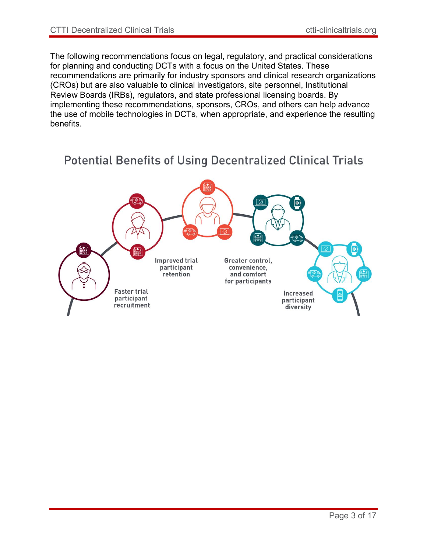The following recommendations focus on legal, regulatory, and practical considerations for planning and conducting DCTs with a focus on the United States. These recommendations are primarily for industry sponsors and clinical research organizations (CROs) but are also valuable to clinical investigators, site personnel, Institutional Review Boards (IRBs), regulators, and state professional licensing boards. By implementing these recommendations, sponsors, CROs, and others can help advance the use of mobile technologies in DCTs, when appropriate, and experience the resulting benefits.



# **Potential Benefits of Using Decentralized Clinical Trials**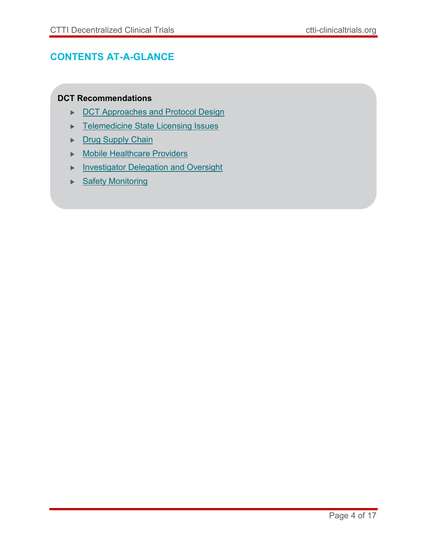# **CONTENTS AT-A-GLANCE**

#### **DCT Recommendations**

- [DCT Approaches and Protocol Design](#page-4-0)
- ▶ [Telemedicine State Licensing Issues](#page-8-0)
- [Drug Supply Chain](#page-8-1)
- Mobile [Healthcare Providers](#page-10-0)
- **[Investigator Delegation and Oversight](#page-11-0)**
- ▶ [Safety Monitoring](#page-12-0)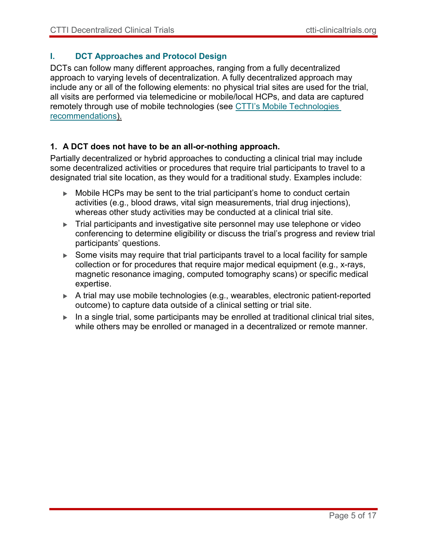#### <span id="page-4-0"></span>**I. DCT Approaches and Protocol Design**

DCTs can follow many different approaches, ranging from a fully decentralized approach to varying levels of decentralization. A fully decentralized approach may include any or all of the following elements: no physical trial sites are used for the trial, all visits are performed via telemedicine or mobile/local HCPs, and data are captured [remotely through use of mobile technologies \(see CTTI's Mobile Technologies](https://ctti-clinicaltrials.org/wp-content/uploads/2021/06/CTTI_Digital_Health_Technologies_Recs.pdf) recommendations).

#### **1. A DCT does not have to be an all-or-nothing approach.**

Partially decentralized or hybrid approaches to conducting a clinical trial may include some decentralized activities or procedures that require trial participants to travel to a designated trial site location, as they would for a traditional study. Examples include:

- ► Mobile HCPs may be sent to the trial participant's home to conduct certain activities (e.g., blood draws, vital sign measurements, trial drug injections), whereas other study activities may be conducted at a clinical trial site.
- Trial participants and investigative site personnel may use telephone or video conferencing to determine eligibility or discuss the trial's progress and review trial participants' questions.
- ▶ Some visits may require that trial participants travel to a local facility for sample collection or for procedures that require major medical equipment (e.g., x-rays, magnetic resonance imaging, computed tomography scans) or specific medical expertise.
- A trial may use mobile technologies (e.g., wearables, electronic patient-reported outcome) to capture data outside of a clinical setting or trial site.
- $\blacktriangleright$  In a single trial, some participants may be enrolled at traditional clinical trial sites, while others may be enrolled or managed in a decentralized or remote manner.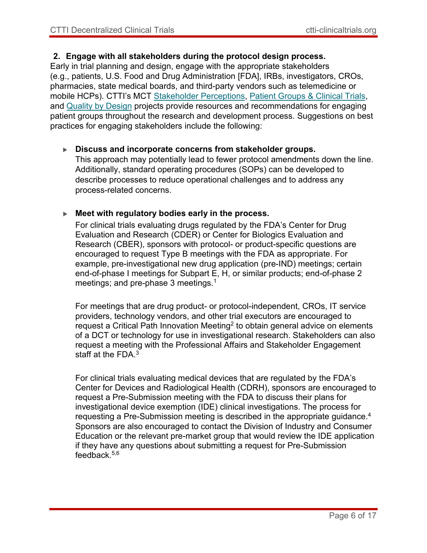#### **2. Engage with all stakeholders during the protocol design process.**

Early in trial planning and design, engage with the appropriate stakeholders (e.g., patients, U.S. Food and Drug Administration [FDA], IRBs, investigators, CROs, pharmacies, state medical boards, and third-party vendors such as telemedicine or mobile HCPs). CTTI's MCT [Stakeholder Perceptions](https://ctti-clinicaltrials.org/our-work/digital-health-trials/original-digital-health-trials-projects/), [Patient Groups & Clinical Trials](https://ctti-clinicaltrials.org/our-work/patient-engagement/patients-groups-clinical-trials/), and [Quality by Design](https://ctti-clinicaltrials.org/our-work/quality/quality-by-design/) projects provide resources and recommendations for engaging patient groups throughout the research and development process. Suggestions on best practices for engaging stakeholders include the following:

#### **Discuss and incorporate concerns from stakeholder groups.**

This approach may potentially lead to fewer protocol amendments down the line. Additionally, standard operating procedures (SOPs) can be developed to describe processes to reduce operational challenges and to address any process-related concerns.

#### **Meet with regulatory bodies early in the process.**

For clinical trials evaluating drugs regulated by the FDA's Center for Drug Evaluation and Research (CDER) or Center for Biologics Evaluation and Research (CBER), sponsors with protocol- or product-specific questions are encouraged to request Type B meetings with the FDA as appropriate. For example, pre-investigational new drug application (pre-IND) meetings; certain end-of-phase I meetings for Subpart E, H, or similar products; end-of-phase 2 meetings; and pre-phase 3 meetings. $^{\rm 1}$ 

For meetings that are drug product- or protocol-independent, CROs, IT service providers, technology vendors, and other trial executors are encouraged to request a Critical Path Innovation Meeting $^{\rm 2}$  to obtain general advice on elements of a DCT or technology for use in investigational research. Stakeholders can also request a meeting with the Professional Affairs and Stakeholder Engagement staff at the  $FDA^3$ 

For clinical trials evaluating medical devices that are regulated by the FDA's Center for Devices and Radiological Health (CDRH), sponsors are encouraged to request a Pre-Submission meeting with the FDA to discuss their plans for investigational device exemption (IDE) clinical investigations. The process for requesting a Pre-Submission meeting is described in the appropriate guidance.<sup>4</sup> Sponsors are also encouraged to contact the Division of Industry and Consumer Education or the relevant pre-market group that would review the IDE application if they have any questions about submitting a request for Pre-Submission feedback.5,6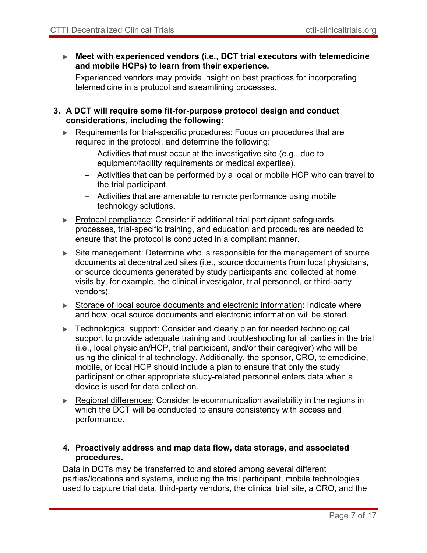**Meet with experienced vendors (i.e., DCT trial executors with telemedicine and mobile HCPs) to learn from their experience.**

Experienced vendors may provide insight on best practices for incorporating telemedicine in a protocol and streamlining processes.

#### **3. A DCT will require some fit-for-purpose protocol design and conduct considerations, including the following:**

- Requirements for trial-specific procedures: Focus on procedures that are required in the protocol, and determine the following:
	- Activities that must occur at the investigative site (e.g., due to equipment/facility requirements or medical expertise).
	- Activities that can be performed by a local or mobile HCP who can travel to the trial participant.
	- Activities that are amenable to remote performance using mobile technology solutions.
- $\blacktriangleright$  Protocol compliance: Consider if additional trial participant safeguards, processes, trial-specific training, and education and procedures are needed to ensure that the protocol is conducted in a compliant manner.
- Site management: Determine who is responsible for the management of source documents at decentralized sites (i.e., source documents from local physicians, or source documents generated by study participants and collected at home visits by, for example, the clinical investigator, trial personnel, or third-party vendors).
- Storage of local source documents and electronic information: Indicate where and how local source documents and electronic information will be stored.
- Echnological support: Consider and clearly plan for needed technological support to provide adequate training and troubleshooting for all parties in the trial (i.e., local physician/HCP, trial participant, and/or their caregiver) who will be using the clinical trial technology. Additionally, the sponsor, CRO, telemedicine, mobile, or local HCP should include a plan to ensure that only the study participant or other appropriate study-related personnel enters data when a device is used for data collection.
- Regional differences: Consider telecommunication availability in the regions in which the DCT will be conducted to ensure consistency with access and performance.

#### **4. Proactively address and map data flow, data storage, and associated procedures.**

Data in DCTs may be transferred to and stored among several different parties/locations and systems, including the trial participant, mobile technologies used to capture trial data, third-party vendors, the clinical trial site, a CRO, and the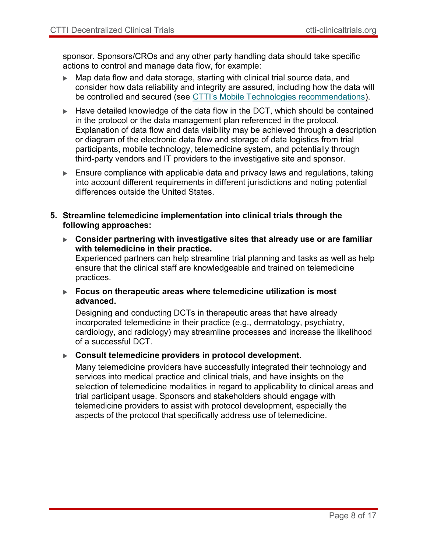sponsor. Sponsors/CROs and any other party handling data should take specific actions to control and manage data flow, for example:

- Map data flow and data storage, starting with clinical trial source data, and consider how data reliability and integrity are assured, including how the data will be controlled and secured (see [CTTI's Mobile Technologies recommendations\).](https://ctti-clinicaltrials.org/wp-content/uploads/2021/06/CTTI_Digital_Health_Technologies_Recs.pdf)
- $\blacktriangleright$  Have detailed knowledge of the data flow in the DCT, which should be contained in the protocol or the data management plan referenced in the protocol. Explanation of data flow and data visibility may be achieved through a description or diagram of the electronic data flow and storage of data logistics from trial participants, mobile technology, telemedicine system, and potentially through third-party vendors and IT providers to the investigative site and sponsor.
- $\blacktriangleright$  Ensure compliance with applicable data and privacy laws and regulations, taking into account different requirements in different jurisdictions and noting potential differences outside the United States.
- **5. Streamline telemedicine implementation into clinical trials through the following approaches:**
	- **Consider partnering with investigative sites that already use or are familiar with telemedicine in their practice.** Experienced partners can help streamline trial planning and tasks as well as help

ensure that the clinical staff are knowledgeable and trained on telemedicine practices.

 **Focus on therapeutic areas where telemedicine utilization is most advanced.**

Designing and conducting DCTs in therapeutic areas that have already incorporated telemedicine in their practice (e.g., dermatology, psychiatry, cardiology, and radiology) may streamline processes and increase the likelihood of a successful DCT.

**Consult telemedicine providers in protocol development.**

Many telemedicine providers have successfully integrated their technology and services into medical practice and clinical trials, and have insights on the selection of telemedicine modalities in regard to applicability to clinical areas and trial participant usage. Sponsors and stakeholders should engage with telemedicine providers to assist with protocol development, especially the aspects of the protocol that specifically address use of telemedicine.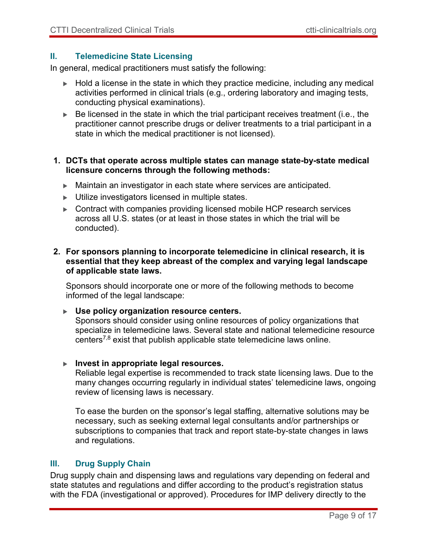#### <span id="page-8-0"></span>**II. Telemedicine State Licensing**

In general, medical practitioners must satisfy the following:

- $\blacktriangleright$  Hold a license in the state in which they practice medicine, including any medical activities performed in clinical trials (e.g., ordering laboratory and imaging tests, conducting physical examinations).
- $\blacktriangleright$  Be licensed in the state in which the trial participant receives treatment (i.e., the practitioner cannot prescribe drugs or deliver treatments to a trial participant in a state in which the medical practitioner is not licensed).

#### **1. DCTs that operate across multiple states can manage state-by-state medical licensure concerns through the following methods:**

- Maintain an investigator in each state where services are anticipated.
- **Utilize investigators licensed in multiple states.**
- ▶ Contract with companies providing licensed mobile HCP research services across all U.S. states (or at least in those states in which the trial will be conducted).

#### **2. For sponsors planning to incorporate telemedicine in clinical research, it is essential that they keep abreast of the complex and varying legal landscape of applicable state laws.**

Sponsors should incorporate one or more of the following methods to become informed of the legal landscape:

#### **Use policy organization resource centers.**

Sponsors should consider using online resources of policy organizations that specialize in telemedicine laws. Several state and national telemedicine resource centers7,8 exist that publish applicable state telemedicine laws online.

#### **Invest in appropriate legal resources.**

Reliable legal expertise is recommended to track state licensing laws. Due to the many changes occurring regularly in individual states' telemedicine laws, ongoing review of licensing laws is necessary.

To ease the burden on the sponsor's legal staffing, alternative solutions may be necessary, such as seeking external legal consultants and/or partnerships or subscriptions to companies that track and report state-by-state changes in laws and regulations.

#### <span id="page-8-1"></span>**III. Drug Supply Chain**

Drug supply chain and dispensing laws and regulations vary depending on federal and state statutes and regulations and differ according to the product's registration status with the FDA (investigational or approved). Procedures for IMP delivery directly to the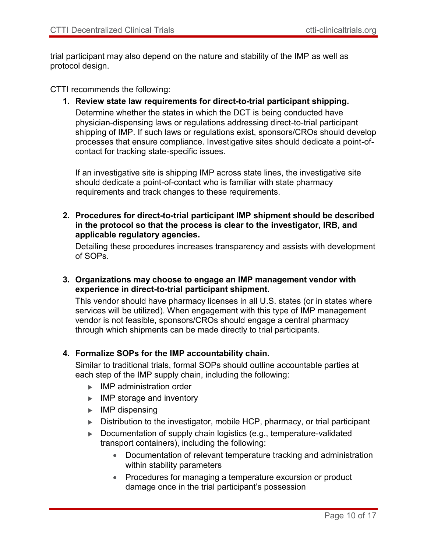trial participant may also depend on the nature and stability of the IMP as well as protocol design.

CTTI recommends the following:

**1. Review state law requirements for direct-to-trial participant shipping.** Determine whether the states in which the DCT is being conducted have physician-dispensing laws or regulations addressing direct-to-trial participant shipping of IMP. If such laws or regulations exist, sponsors/CROs should develop processes that ensure compliance. Investigative sites should dedicate a point-ofcontact for tracking state-specific issues.

If an investigative site is shipping IMP across state lines, the investigative site should dedicate a point-of-contact who is familiar with state pharmacy requirements and track changes to these requirements.

**2. Procedures for direct-to-trial participant IMP shipment should be described in the protocol so that the process is clear to the investigator, IRB, and applicable regulatory agencies.**

Detailing these procedures increases transparency and assists with development of SOPs.

**3. Organizations may choose to engage an IMP management vendor with experience in direct-to-trial participant shipment.**

This vendor should have pharmacy licenses in all U.S. states (or in states where services will be utilized). When engagement with this type of IMP management vendor is not feasible, sponsors/CROs should engage a central pharmacy through which shipments can be made directly to trial participants.

#### **4. Formalize SOPs for the IMP accountability chain.**

Similar to traditional trials, formal SOPs should outline accountable parties at each step of the IMP supply chain, including the following:

- ▶ IMP administration order
- $\blacktriangleright$  IMP storage and inventory
- $\blacktriangleright$  IMP dispensing
- ▶ Distribution to the investigator, mobile HCP, pharmacy, or trial participant
- Documentation of supply chain logistics (e.g., temperature-validated transport containers), including the following:
	- Documentation of relevant temperature tracking and administration within stability parameters
	- Procedures for managing a temperature excursion or product damage once in the trial participant's possession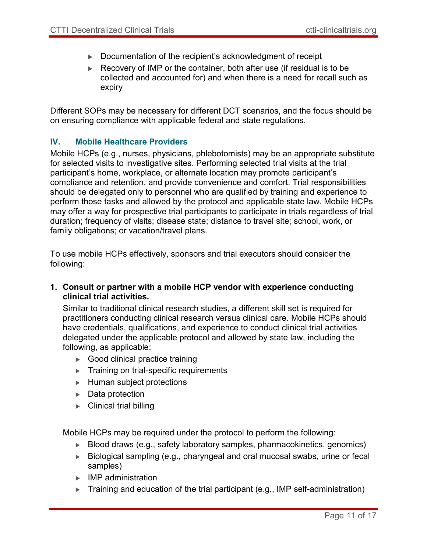- ▶ Documentation of the recipient's acknowledgment of receipt
- Recovery of IMP or the container, both after use (if residual is to be collected and accounted for) and when there is a need for recall such as expiry

Different SOPs may be necessary for different DCT scenarios, and the focus should be on ensuring compliance with applicable federal and state regulations.

#### <span id="page-10-0"></span>**IV. Mobile Healthcare Providers**

Mobile HCPs (e.g., nurses, physicians, phlebotomists) may be an appropriate substitute for selected visits to investigative sites. Performing selected trial visits at the trial participant's home, workplace, or alternate location may promote participant's compliance and retention, and provide convenience and comfort. Trial responsibilities should be delegated only to personnel who are qualified by training and experience to perform those tasks and allowed by the protocol and applicable state law. Mobile HCPs may offer a way for prospective trial participants to participate in trials regardless of trial duration; frequency of visits; disease state; distance to travel site; school, work, or family obligations; or vacation/travel plans.

To use mobile HCPs effectively, sponsors and trial executors should consider the following:

**1. Consult or partner with a mobile HCP vendor with experience conducting clinical trial activities.**

Similar to traditional clinical research studies, a different skill set is required for practitioners conducting clinical research versus clinical care. Mobile HCPs should have credentials, qualifications, and experience to conduct clinical trial activities delegated under the applicable protocol and allowed by state law, including the following, as applicable:

- ▶ Good clinical practice training
- **Training on trial-specific requirements**
- $\blacktriangleright$  Human subject protections
- ▶ Data protection
- $\blacktriangleright$  Clinical trial billing

Mobile HCPs may be required under the protocol to perform the following:

- Blood draws (e.g., safety laboratory samples, pharmacokinetics, genomics)
- ▶ Biological sampling (e.g., pharyngeal and oral mucosal swabs, urine or fecal samples)
- **IMP** administration
- $\triangleright$  Training and education of the trial participant (e.g., IMP self-administration)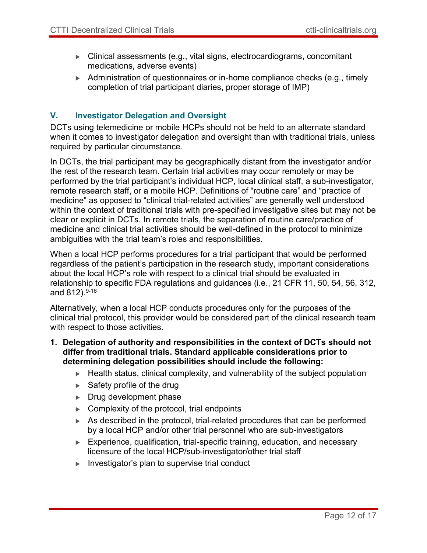- Clinical assessments (e.g., vital signs, electrocardiograms, concomitant medications, adverse events)
- Administration of questionnaires or in-home compliance checks (e.g., timely completion of trial participant diaries, proper storage of IMP)

#### <span id="page-11-0"></span>**V. Investigator Delegation and Oversight**

DCTs using telemedicine or mobile HCPs should not be held to an alternate standard when it comes to investigator delegation and oversight than with traditional trials, unless required by particular circumstance.

In DCTs, the trial participant may be geographically distant from the investigator and/or the rest of the research team. Certain trial activities may occur remotely or may be performed by the trial participant's individual HCP, local clinical staff, a sub-investigator, remote research staff, or a mobile HCP. Definitions of "routine care" and "practice of medicine" as opposed to "clinical trial-related activities" are generally well understood within the context of traditional trials with pre-specified investigative sites but may not be clear or explicit in DCTs. In remote trials, the separation of routine care/practice of medicine and clinical trial activities should be well-defined in the protocol to minimize ambiguities with the trial team's roles and responsibilities.

When a local HCP performs procedures for a trial participant that would be performed regardless of the patient's participation in the research study, important considerations about the local HCP's role with respect to a clinical trial should be evaluated in relationship to specific FDA regulations and guidances (i.e., 21 CFR 11, 50, 54, 56, 312, and 812). 9-16

Alternatively, when a local HCP conducts procedures only for the purposes of the clinical trial protocol, this provider would be considered part of the clinical research team with respect to those activities.

- **1. Delegation of authority and responsibilities in the context of DCTs should not differ from traditional trials. Standard applicable considerations prior to determining delegation possibilities should include the following:**
	- $\blacktriangleright$  Health status, clinical complexity, and vulnerability of the subject population
	- $\blacktriangleright$  Safety profile of the drug
	- $\blacktriangleright$  Drug development phase
	- $\triangleright$  Complexity of the protocol, trial endpoints
	- As described in the protocol, trial-related procedures that can be performed by a local HCP and/or other trial personnel who are sub-investigators
	- Experience, qualification, trial-specific training, education, and necessary licensure of the local HCP/sub-investigator/other trial staff
	- $\blacktriangleright$  Investigator's plan to supervise trial conduct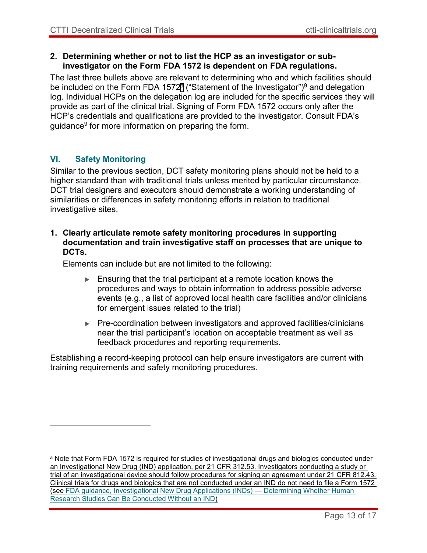#### **2. Determining whether or not to list the HCP as an investigator or subinvestigator on the Form FDA 1572 is dependent on FDA regulations.**

The last three bullets above are relevant to determining who and which facilities should be included on the Form FDA 1572ª ("Statement of the Investigator")<sup>9</sup> and delegation log. Individual HCPs on the delegation log are included for the specific services they will provide as part of the clinical trial. Signing of Form FDA 1572 occurs only after the HCP's credentials and qualifications are provided to the investigator. Consult FDA's guidance $^9$  for more information on preparing the form.

#### <span id="page-12-0"></span>**VI. Safety Monitoring**

 $\overline{a}$ 

Similar to the previous section, DCT safety monitoring plans should not be held to a higher standard than with traditional trials unless merited by particular circumstance. DCT trial designers and executors should demonstrate a working understanding of similarities or differences in safety monitoring efforts in relation to traditional investigative sites.

#### **1. Clearly articulate remote safety monitoring procedures in supporting documentation and train investigative staff on processes that are unique to DCTs.**

Elements can include but are not limited to the following:

- $\blacktriangleright$  Ensuring that the trial participant at a remote location knows the procedures and ways to obtain information to address possible adverse events (e.g., a list of approved local health care facilities and/or clinicians for emergent issues related to the trial)
- ▶ Pre-coordination between investigators and approved facilities/clinicians near the trial participant's location on acceptable treatment as well as feedback procedures and reporting requirements.

Establishing a record-keeping protocol can help ensure investigators are current with training requirements and safety monitoring procedures.

<sup>a</sup> Note that Form FDA 1572 is required for studies of investigational drugs and biologics conducted under an Investigational New Drug (IND) application, per 21 CFR 312.53. Investigators conducting a study or trial of an investigational device should follow procedures for signing an agreement under 21 CFR 812.43. Clinical trials for drugs and biologics that are not conducted under an IND do not need to file a Form 1572 (see [FDA guidance, Investigational New Drug Applications \(INDs\) —](https://www.fda.gov/downloads/drugs/guidances/ucm229175.pdf) Determining Whether Human [Research Studies Can Be Conducted Without an IND\)](https://www.fda.gov/downloads/drugs/guidances/ucm229175.pdf)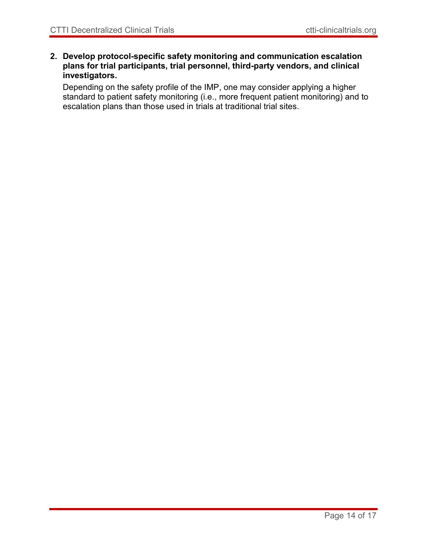**2. Develop protocol-specific safety monitoring and communication escalation plans for trial participants, trial personnel, third-party vendors, and clinical investigators.**

Depending on the safety profile of the IMP, one may consider applying a higher standard to patient safety monitoring (i.e., more frequent patient monitoring) and to escalation plans than those used in trials at traditional trial sites.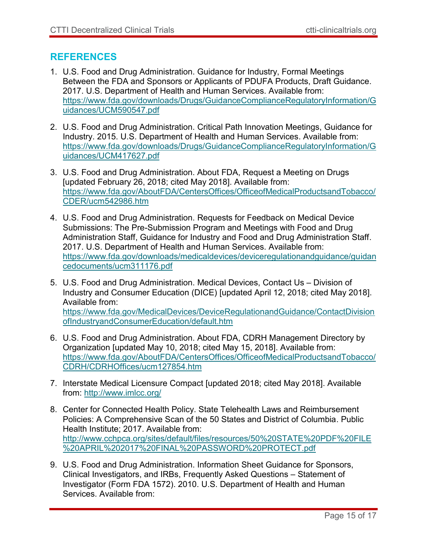## **REFERENCES**

- 1. U.S. Food and Drug Administration. Guidance for Industry, Formal Meetings Between the FDA and Sponsors or Applicants of PDUFA Products, Draft Guidance. 2017. U.S. Department of Health and Human Services. Available from: [https://www.fda.gov/downloads/Drugs/GuidanceComplianceRegulatoryInformation/G](https://www.fda.gov/downloads/Drugs/GuidanceComplianceRegulatoryInformation/Guidances/UCM590547.pdf) [uidances/UCM590547.pdf](https://www.fda.gov/downloads/Drugs/GuidanceComplianceRegulatoryInformation/Guidances/UCM590547.pdf)
- 2. U.S. Food and Drug Administration. Critical Path Innovation Meetings, Guidance for Industry. 2015. U.S. Department of Health and Human Services. Available from: [https://www.fda.gov/downloads/Drugs/GuidanceComplianceRegulatoryInformation/G](https://www.fda.gov/downloads/Drugs/GuidanceComplianceRegulatoryInformation/Guidances/UCM417627.pdf) [uidances/UCM417627.pdf](https://www.fda.gov/downloads/Drugs/GuidanceComplianceRegulatoryInformation/Guidances/UCM417627.pdf)
- 3. U.S. Food and Drug Administration. About FDA, Request a Meeting on Drugs [updated February 26, 2018; cited May 2018]. Available from: [https://www.fda.gov/AboutFDA/CentersOffices/OfficeofMedicalProductsandTobacco/](https://www.fda.gov/AboutFDA/CentersOffices/OfficeofMedicalProductsandTobacco/CDER/ucm542986.htm) [CDER/ucm542986.htm](https://www.fda.gov/AboutFDA/CentersOffices/OfficeofMedicalProductsandTobacco/CDER/ucm542986.htm)
- 4. U.S. Food and Drug Administration. Requests for Feedback on Medical Device Submissions: The Pre-Submission Program and Meetings with Food and Drug Administration Staff, Guidance for Industry and Food and Drug Administration Staff. 2017. U.S. Department of Health and Human Services. Available from: [https://www.fda.gov/downloads/medicaldevices/deviceregulationandguidance/guidan](https://www.fda.gov/downloads/medicaldevices/deviceregulationandguidance/guidancedocuments/ucm311176.pdf) [cedocuments/ucm311176.pdf](https://www.fda.gov/downloads/medicaldevices/deviceregulationandguidance/guidancedocuments/ucm311176.pdf)
- 5. U.S. Food and Drug Administration. Medical Devices, Contact Us Division of Industry and Consumer Education (DICE) [updated April 12, 2018; cited May 2018]. Available from: [https://www.fda.gov/MedicalDevices/DeviceRegulationandGuidance/ContactDivision](https://www.fda.gov/MedicalDevices/DeviceRegulationandGuidance/ContactDivisionofIndustryandConsumerEducation/default.htm) [ofIndustryandConsumerEducation/default.htm](https://www.fda.gov/MedicalDevices/DeviceRegulationandGuidance/ContactDivisionofIndustryandConsumerEducation/default.htm)
- 6. U.S. Food and Drug Administration. About FDA, CDRH Management Directory by Organization [updated May 10, 2018; cited May 15, 2018]. Available from: [https://www.fda.gov/AboutFDA/CentersOffices/OfficeofMedicalProductsandTobacco/](https://www.fda.gov/AboutFDA/CentersOffices/OfficeofMedicalProductsandTobacco/CDRH/CDRHOffices/ucm127854.htm) [CDRH/CDRHOffices/ucm127854.htm](https://www.fda.gov/AboutFDA/CentersOffices/OfficeofMedicalProductsandTobacco/CDRH/CDRHOffices/ucm127854.htm)
- 7. Interstate Medical Licensure Compact [updated 2018; cited May 2018]. Available from: <http://www.imlcc.org/>
- 8. Center for Connected Health Policy. State Telehealth Laws and Reimbursement Policies: A Comprehensive Scan of the 50 States and District of Columbia. Public Health Institute; 2017. Available from: [http://www.cchpca.org/sites/default/files/resources/50%20STATE%20PDF%20FILE](http://www.cchpca.org/sites/default/files/resources/50%20STATE%20PDF%20FILE%20APRIL%202017%20FINAL%20PASSWORD%20PROTECT.pdf) [%20APRIL%202017%20FINAL%20PASSWORD%20PROTECT.pdf](http://www.cchpca.org/sites/default/files/resources/50%20STATE%20PDF%20FILE%20APRIL%202017%20FINAL%20PASSWORD%20PROTECT.pdf)
- 9. U.S. Food and Drug Administration. Information Sheet Guidance for Sponsors, Clinical Investigators, and IRBs, Frequently Asked Questions – Statement of Investigator (Form FDA 1572). 2010. U.S. Department of Health and Human Services. Available from: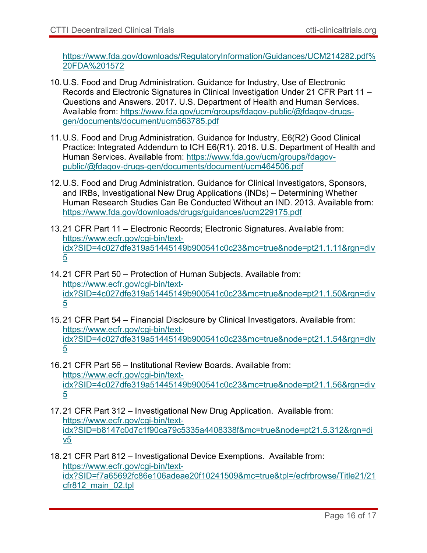[https://www.fda.gov/downloads/RegulatoryInformation/Guidances/UCM214282.pdf%](https://www.fda.gov/downloads/RegulatoryInformation/Guidances/UCM214282.pdf%20FDA%201572) [20FDA%201572](https://www.fda.gov/downloads/RegulatoryInformation/Guidances/UCM214282.pdf%20FDA%201572)

- 10.U.S. Food and Drug Administration. Guidance for Industry, Use of Electronic Records and Electronic Signatures in Clinical Investigation Under 21 CFR Part 11 – Questions and Answers. 2017. U.S. Department of Health and Human Services. Available from: [https://www.fda.gov/ucm/groups/fdagov-public/@fdagov-drugs](https://www.fda.gov/ucm/groups/fdagov-public/@fdagov-drugs-gen/documents/document/ucm563785.pdf)[gen/documents/document/ucm563785.pdf](https://www.fda.gov/ucm/groups/fdagov-public/@fdagov-drugs-gen/documents/document/ucm563785.pdf)
- 11.U.S. Food and Drug Administration. Guidance for Industry, E6(R2) Good Clinical Practice: Integrated Addendum to ICH E6(R1). 2018. U.S. Department of Health and Human Services. Available from: [https://www.fda.gov/ucm/groups/fdagov](https://www.fda.gov/ucm/groups/fdagov-public/@fdagov-drugs-gen/documents/document/ucm464506.pdf)[public/@fdagov-drugs-gen/documents/document/ucm464506.pdf](https://www.fda.gov/ucm/groups/fdagov-public/@fdagov-drugs-gen/documents/document/ucm464506.pdf)
- 12.U.S. Food and Drug Administration. Guidance for Clinical Investigators, Sponsors, and IRBs, Investigational New Drug Applications (INDs) – Determining Whether Human Research Studies Can Be Conducted Without an IND. 2013. Available from: <https://www.fda.gov/downloads/drugs/guidances/ucm229175.pdf>
- 13.21 CFR Part 11 Electronic Records; Electronic Signatures. Available from: [https://www.ecfr.gov/cgi-bin/text](https://www.ecfr.gov/cgi-bin/text-idx?SID=4c027dfe319a51445149b900541c0c23&mc=true&node=pt21.1.11&rgn=div5)[idx?SID=4c027dfe319a51445149b900541c0c23&mc=true&node=pt21.1.11&rgn=div](https://www.ecfr.gov/cgi-bin/text-idx?SID=4c027dfe319a51445149b900541c0c23&mc=true&node=pt21.1.11&rgn=div5) [5](https://www.ecfr.gov/cgi-bin/text-idx?SID=4c027dfe319a51445149b900541c0c23&mc=true&node=pt21.1.11&rgn=div5)
- 14.21 CFR Part 50 Protection of Human Subjects. Available from: [https://www.ecfr.gov/cgi-bin/text](https://www.ecfr.gov/cgi-bin/text-idx?SID=4c027dfe319a51445149b900541c0c23&mc=true&node=pt21.1.50&rgn=div5)[idx?SID=4c027dfe319a51445149b900541c0c23&mc=true&node=pt21.1.50&rgn=div](https://www.ecfr.gov/cgi-bin/text-idx?SID=4c027dfe319a51445149b900541c0c23&mc=true&node=pt21.1.50&rgn=div5) [5](https://www.ecfr.gov/cgi-bin/text-idx?SID=4c027dfe319a51445149b900541c0c23&mc=true&node=pt21.1.50&rgn=div5)
- 15.21 CFR Part 54 Financial Disclosure by Clinical Investigators. Available from: [https://www.ecfr.gov/cgi-bin/text](https://www.ecfr.gov/cgi-bin/text-idx?SID=4c027dfe319a51445149b900541c0c23&mc=true&node=pt21.1.54&rgn=div5)[idx?SID=4c027dfe319a51445149b900541c0c23&mc=true&node=pt21.1.54&rgn=div](https://www.ecfr.gov/cgi-bin/text-idx?SID=4c027dfe319a51445149b900541c0c23&mc=true&node=pt21.1.54&rgn=div5) [5](https://www.ecfr.gov/cgi-bin/text-idx?SID=4c027dfe319a51445149b900541c0c23&mc=true&node=pt21.1.54&rgn=div5)
- 16.21 CFR Part 56 Institutional Review Boards. Available from: [https://www.ecfr.gov/cgi-bin/text](https://www.ecfr.gov/cgi-bin/text-idx?SID=4c027dfe319a51445149b900541c0c23&mc=true&node=pt21.1.56&rgn=div5)[idx?SID=4c027dfe319a51445149b900541c0c23&mc=true&node=pt21.1.56&rgn=div](https://www.ecfr.gov/cgi-bin/text-idx?SID=4c027dfe319a51445149b900541c0c23&mc=true&node=pt21.1.56&rgn=div5) [5](https://www.ecfr.gov/cgi-bin/text-idx?SID=4c027dfe319a51445149b900541c0c23&mc=true&node=pt21.1.56&rgn=div5)
- 17.21 CFR Part 312 Investigational New Drug Application. Available from: [https://www.ecfr.gov/cgi-bin/text](https://www.ecfr.gov/cgi-bin/text-idx?SID=b8147c0d7c1f90ca79c5335a4408338f&mc=true&node=pt21.5.312&rgn=div5)[idx?SID=b8147c0d7c1f90ca79c5335a4408338f&mc=true&node=pt21.5.312&rgn=di](https://www.ecfr.gov/cgi-bin/text-idx?SID=b8147c0d7c1f90ca79c5335a4408338f&mc=true&node=pt21.5.312&rgn=div5) [v5](https://www.ecfr.gov/cgi-bin/text-idx?SID=b8147c0d7c1f90ca79c5335a4408338f&mc=true&node=pt21.5.312&rgn=div5)
- 18.21 CFR Part 812 Investigational Device Exemptions. Available from: [https://www.ecfr.gov/cgi-bin/text](https://www.ecfr.gov/cgi-bin/text-idx?SID=f7a65692fc86e106adeae20f10241509&mc=true&tpl=/ecfrbrowse/Title21/21cfr812_main_02.tpl)[idx?SID=f7a65692fc86e106adeae20f10241509&mc=true&tpl=/ecfrbrowse/Title21/21](https://www.ecfr.gov/cgi-bin/text-idx?SID=f7a65692fc86e106adeae20f10241509&mc=true&tpl=/ecfrbrowse/Title21/21cfr812_main_02.tpl) [cfr812\\_main\\_02.tpl](https://www.ecfr.gov/cgi-bin/text-idx?SID=f7a65692fc86e106adeae20f10241509&mc=true&tpl=/ecfrbrowse/Title21/21cfr812_main_02.tpl)